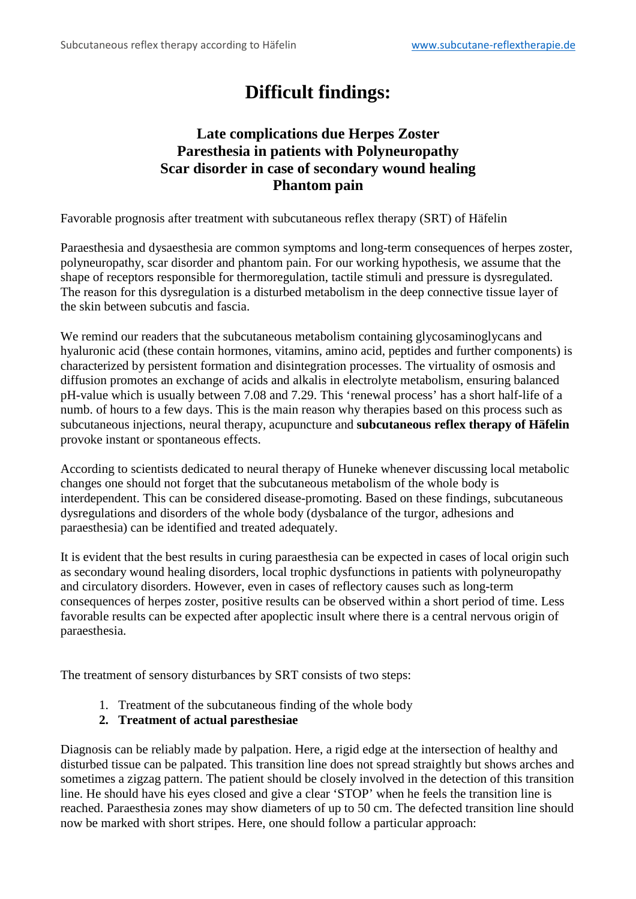## **Difficult findings:**

## **Late complications due Herpes Zoster Paresthesia in patients with Polyneuropathy Scar disorder in case of secondary wound healing Phantom pain**

Favorable prognosis after treatment with subcutaneous reflex therapy (SRT) of Häfelin

Paraesthesia and dysaesthesia are common symptoms and long-term consequences of herpes zoster, polyneuropathy, scar disorder and phantom pain. For our working hypothesis, we assume that the shape of receptors responsible for thermoregulation, tactile stimuli and pressure is dysregulated. The reason for this dysregulation is a disturbed metabolism in the deep connective tissue layer of the skin between subcutis and fascia.

We remind our readers that the subcutaneous metabolism containing glycosaminoglycans and hyaluronic acid (these contain hormones, vitamins, amino acid, peptides and further components) is characterized by persistent formation and disintegration processes. The virtuality of osmosis and diffusion promotes an exchange of acids and alkalis in electrolyte metabolism, ensuring balanced pH-value which is usually between 7.08 and 7.29. This 'renewal process' has a short half-life of a numb. of hours to a few days. This is the main reason why therapies based on this process such as subcutaneous injections, neural therapy, acupuncture and **subcutaneous reflex therapy of Häfelin** provoke instant or spontaneous effects.

According to scientists dedicated to neural therapy of Huneke whenever discussing local metabolic changes one should not forget that the subcutaneous metabolism of the whole body is interdependent. This can be considered disease-promoting. Based on these findings, subcutaneous dysregulations and disorders of the whole body (dysbalance of the turgor, adhesions and paraesthesia) can be identified and treated adequately.

It is evident that the best results in curing paraesthesia can be expected in cases of local origin such as secondary wound healing disorders, local trophic dysfunctions in patients with polyneuropathy and circulatory disorders. However, even in cases of reflectory causes such as long-term consequences of herpes zoster, positive results can be observed within a short period of time. Less favorable results can be expected after apoplectic insult where there is a central nervous origin of paraesthesia.

The treatment of sensory disturbances by SRT consists of two steps:

1. Treatment of the subcutaneous finding of the whole body

## **2. Treatment of actual paresthesiae**

Diagnosis can be reliably made by palpation. Here, a rigid edge at the intersection of healthy and disturbed tissue can be palpated. This transition line does not spread straightly but shows arches and sometimes a zigzag pattern. The patient should be closely involved in the detection of this transition line. He should have his eyes closed and give a clear 'STOP' when he feels the transition line is reached. Paraesthesia zones may show diameters of up to 50 cm. The defected transition line should now be marked with short stripes. Here, one should follow a particular approach: